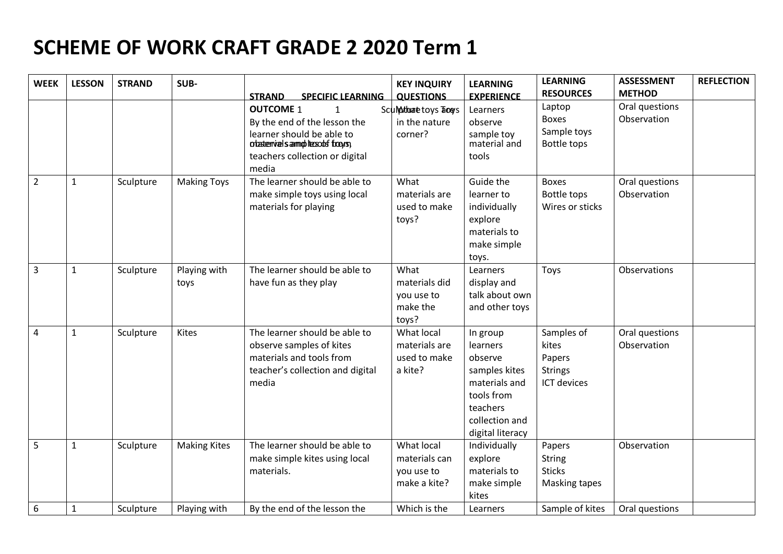## **SCHEME OF WORK CRAFT GRADE 2 2020 Term 1**

| <b>WEEK</b>    | <b>LESSON</b> | <b>STRAND</b> | SUB-                 | <b>STRAND</b><br><b>SPECIFIC LEARNING</b>                                                                                                                                     | <b>KEY INQUIRY</b><br><b>QUESTIONS</b>                    | <b>LEARNING</b><br><b>EXPERIENCE</b>                                                                                              | <b>LEARNING</b><br><b>RESOURCES</b>                            | <b>ASSESSMENT</b><br><b>METHOD</b> | <b>REFLECTION</b> |
|----------------|---------------|---------------|----------------------|-------------------------------------------------------------------------------------------------------------------------------------------------------------------------------|-----------------------------------------------------------|-----------------------------------------------------------------------------------------------------------------------------------|----------------------------------------------------------------|------------------------------------|-------------------|
|                |               |               |                      | <b>OUTCOME 1</b><br>$\mathbf{1}$<br>By the end of the lesson the<br>learner should be able to<br>otasterivals aimplicesods frogrs;<br>teachers collection or digital<br>media | Sculputorato toys Tools<br>in the nature<br>corner?       | Learners<br>observe<br>sample toy<br>material and<br>tools                                                                        | Laptop<br><b>Boxes</b><br>Sample toys<br><b>Bottle tops</b>    | Oral questions<br>Observation      |                   |
| $\overline{2}$ | $\mathbf{1}$  | Sculpture     | <b>Making Toys</b>   | The learner should be able to<br>make simple toys using local<br>materials for playing                                                                                        | What<br>materials are<br>used to make<br>toys?            | Guide the<br>learner to<br>individually<br>explore<br>materials to<br>make simple<br>toys.                                        | <b>Boxes</b><br><b>Bottle tops</b><br>Wires or sticks          | Oral questions<br>Observation      |                   |
| 3              | 1             | Sculpture     | Playing with<br>toys | The learner should be able to<br>have fun as they play                                                                                                                        | What<br>materials did<br>you use to<br>make the<br>toys?  | Learners<br>display and<br>talk about own<br>and other toys                                                                       | Toys                                                           | Observations                       |                   |
| 4              | $\mathbf{1}$  | Sculpture     | Kites                | The learner should be able to<br>observe samples of kites<br>materials and tools from<br>teacher's collection and digital<br>media                                            | What local<br>materials are<br>used to make<br>a kite?    | In group<br>learners<br>observe<br>samples kites<br>materials and<br>tools from<br>teachers<br>collection and<br>digital literacy | Samples of<br>kites<br>Papers<br><b>Strings</b><br>ICT devices | Oral questions<br>Observation      |                   |
| 5              | $\mathbf{1}$  | Sculpture     | <b>Making Kites</b>  | The learner should be able to<br>make simple kites using local<br>materials.                                                                                                  | What local<br>materials can<br>you use to<br>make a kite? | Individually<br>explore<br>materials to<br>make simple<br>kites                                                                   | Papers<br><b>String</b><br><b>Sticks</b><br>Masking tapes      | Observation                        |                   |
| 6              | 1             | Sculpture     | Playing with         | By the end of the lesson the                                                                                                                                                  | Which is the                                              | Learners                                                                                                                          | Sample of kites                                                | Oral questions                     |                   |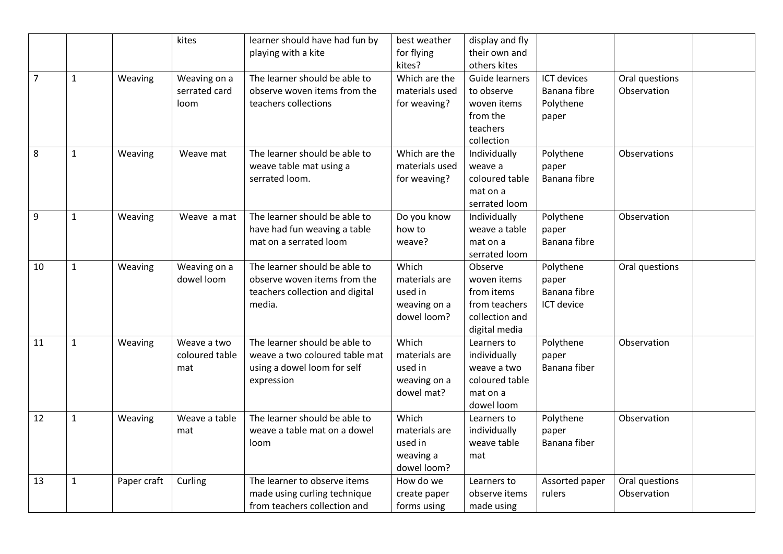|                |              |             | kites          | learner should have had fun by  | best weather   | display and fly       |                    |                |
|----------------|--------------|-------------|----------------|---------------------------------|----------------|-----------------------|--------------------|----------------|
|                |              |             |                | playing with a kite             | for flying     | their own and         |                    |                |
|                |              |             |                |                                 | kites?         | others kites          |                    |                |
| $\overline{7}$ | $\mathbf{1}$ | Weaving     | Weaving on a   | The learner should be able to   | Which are the  | <b>Guide learners</b> | <b>ICT devices</b> | Oral questions |
|                |              |             | serrated card  | observe woven items from the    | materials used | to observe            | Banana fibre       | Observation    |
|                |              |             | loom           | teachers collections            | for weaving?   | woven items           | Polythene          |                |
|                |              |             |                |                                 |                | from the              | paper              |                |
|                |              |             |                |                                 |                | teachers              |                    |                |
|                |              |             |                |                                 |                | collection            |                    |                |
| 8              | $\mathbf{1}$ | Weaving     | Weave mat      | The learner should be able to   | Which are the  | Individually          | Polythene          | Observations   |
|                |              |             |                | weave table mat using a         | materials used | weave a               | paper              |                |
|                |              |             |                | serrated loom.                  | for weaving?   | coloured table        | Banana fibre       |                |
|                |              |             |                |                                 |                | mat on a              |                    |                |
|                |              |             |                |                                 |                | serrated loom         |                    |                |
| 9              | $\mathbf{1}$ | Weaving     | Weave a mat    | The learner should be able to   | Do you know    | Individually          | Polythene          | Observation    |
|                |              |             |                | have had fun weaving a table    | how to         | weave a table         | paper              |                |
|                |              |             |                | mat on a serrated loom          | weave?         | mat on a              | Banana fibre       |                |
|                |              |             |                |                                 |                | serrated loom         |                    |                |
| 10             | $\mathbf{1}$ | Weaving     | Weaving on a   | The learner should be able to   | Which          | Observe               | Polythene          | Oral questions |
|                |              |             | dowel loom     | observe woven items from the    | materials are  | woven items           | paper              |                |
|                |              |             |                | teachers collection and digital | used in        | from items            | Banana fibre       |                |
|                |              |             |                | media.                          | weaving on a   | from teachers         | ICT device         |                |
|                |              |             |                |                                 | dowel loom?    | collection and        |                    |                |
|                |              |             |                |                                 |                | digital media         |                    |                |
| 11             | $\mathbf{1}$ | Weaving     | Weave a two    | The learner should be able to   | Which          | Learners to           | Polythene          | Observation    |
|                |              |             | coloured table | weave a two coloured table mat  | materials are  | individually          | paper              |                |
|                |              |             | mat            | using a dowel loom for self     | used in        | weave a two           | Banana fiber       |                |
|                |              |             |                | expression                      | weaving on a   | coloured table        |                    |                |
|                |              |             |                |                                 | dowel mat?     | mat on a              |                    |                |
|                |              |             |                |                                 |                | dowel loom            |                    |                |
| 12             | $\mathbf{1}$ | Weaving     | Weave a table  | The learner should be able to   | Which          | Learners to           | Polythene          | Observation    |
|                |              |             | mat            | weave a table mat on a dowel    | materials are  | individually          | paper              |                |
|                |              |             |                | loom                            | used in        | weave table           | Banana fiber       |                |
|                |              |             |                |                                 | weaving a      | mat                   |                    |                |
|                |              |             |                |                                 | dowel loom?    |                       |                    |                |
| 13             | $\mathbf{1}$ | Paper craft | Curling        | The learner to observe items    | How do we      | Learners to           | Assorted paper     | Oral questions |
|                |              |             |                | made using curling technique    | create paper   | observe items         | rulers             | Observation    |
|                |              |             |                | from teachers collection and    | forms using    | made using            |                    |                |